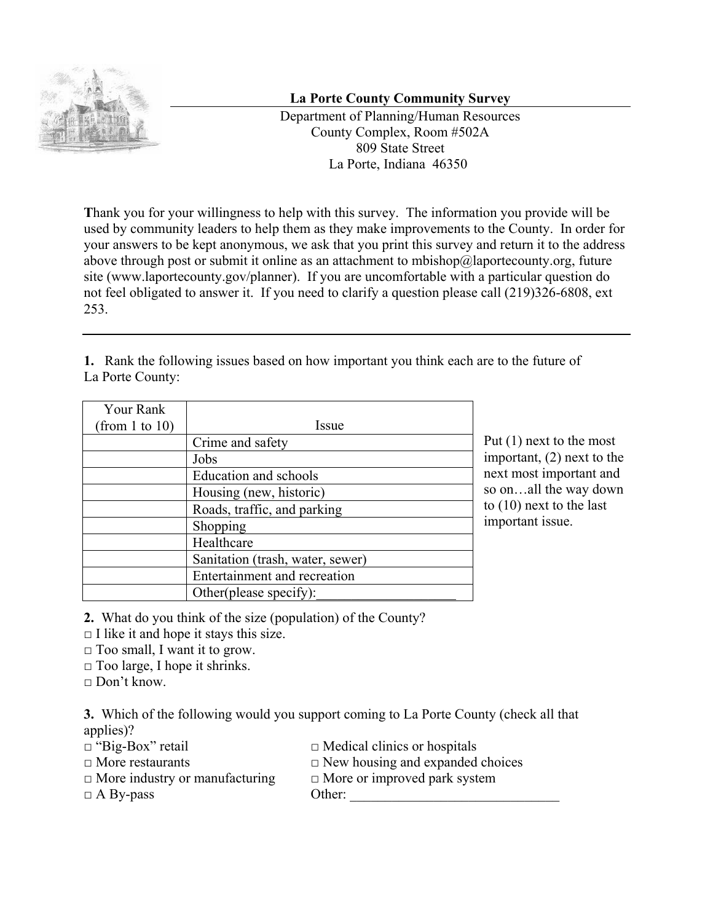

## **La Porte County Community Survey**

Department of Planning/Human Resources County Complex, Room #502A 809 State Street La Porte, Indiana 46350

**T**hank you for your willingness to help with this survey. The information you provide will be used by community leaders to help them as they make improvements to the County. In order for your answers to be kept anonymous, we ask that you print this survey and return it to the address above through post or submit it online as an attachment to mbishop@laportecounty.org, future site (www.laportecounty.gov/planner). If you are uncomfortable with a particular question do not feel obligated to answer it. If you need to clarify a question please call (219)326-6808, ext 253.

**1.** Rank the following issues based on how important you think each are to the future of La Porte County:

| Your Rank      |                                  |
|----------------|----------------------------------|
| (from 1 to 10) | Issue                            |
|                | Crime and safety                 |
|                | Jobs                             |
|                | Education and schools            |
|                | Housing (new, historic)          |
|                | Roads, traffic, and parking      |
|                | Shopping                         |
|                | Healthcare                       |
|                | Sanitation (trash, water, sewer) |
|                | Entertainment and recreation     |
|                | Other(please specify):           |

Put (1) next to the most important, (2) next to the next most important and so on…all the way down to (10) next to the last important issue.

**2.** What do you think of the size (population) of the County?

 $\Box$  I like it and hope it stays this size.

 $\Box$  Too small, I want it to grow.

 $\Box$  Too large, I hope it shrinks.

 $\Box$  Don't know.

**3.** Which of the following would you support coming to La Porte County (check all that applies)?

- 
- 
- $\Box$  "Big-Box" retail  $\Box$  Medical clinics or hospitals
- □ More restaurants □ New housing and expanded choices
- □ More industry or manufacturing □ More or improved park system
- 
- 
- $\Box$  A By-pass Other: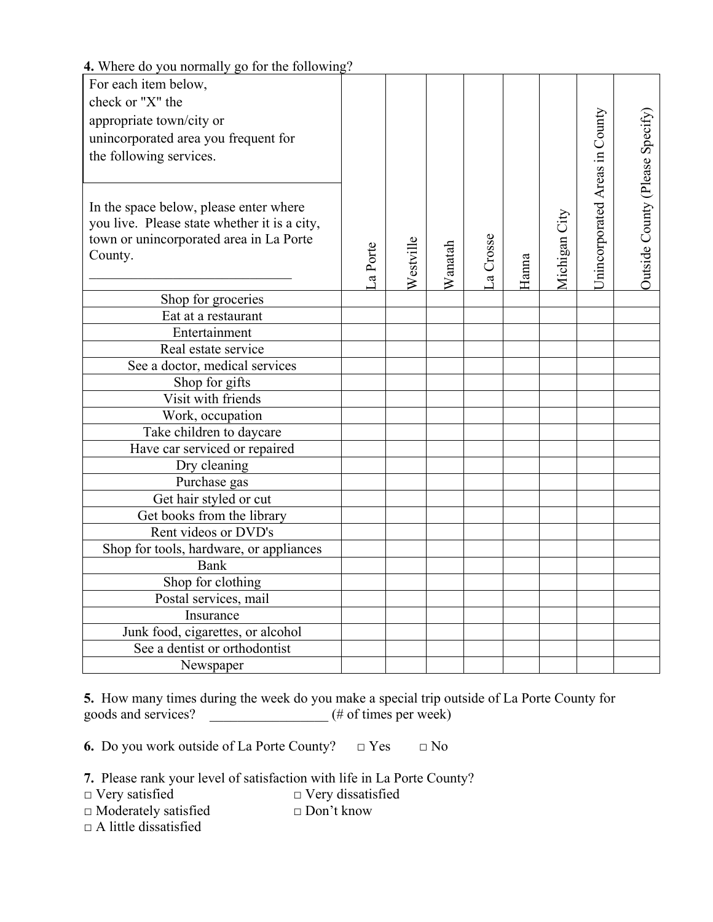| $\alpha$ $\alpha$ $\beta$ $\alpha$ hommally go for the following<br>For each item below, |         |           |         |           |       |               |                                |                                 |
|------------------------------------------------------------------------------------------|---------|-----------|---------|-----------|-------|---------------|--------------------------------|---------------------------------|
| check or "X" the                                                                         |         |           |         |           |       |               |                                |                                 |
| appropriate town/city or                                                                 |         |           |         |           |       |               |                                |                                 |
|                                                                                          |         |           |         |           |       |               |                                |                                 |
| unincorporated area you frequent for                                                     |         |           |         |           |       |               |                                |                                 |
| the following services.                                                                  |         |           |         |           |       |               |                                |                                 |
|                                                                                          |         |           |         |           |       |               |                                |                                 |
|                                                                                          |         |           |         |           |       |               | Unincorporated Areas in County | Outside County (Please Specify) |
| In the space below, please enter where                                                   |         |           |         |           |       |               |                                |                                 |
| you live. Please state whether it is a city,                                             |         |           |         |           |       |               |                                |                                 |
| town or unincorporated area in La Porte                                                  |         |           |         |           |       |               |                                |                                 |
| County.                                                                                  | a Porte |           | Wanatah | La Crosse |       |               |                                |                                 |
|                                                                                          |         | Westville |         |           | Hanna | Michigan City |                                |                                 |
| Shop for groceries                                                                       |         |           |         |           |       |               |                                |                                 |
| Eat at a restaurant                                                                      |         |           |         |           |       |               |                                |                                 |
| Entertainment                                                                            |         |           |         |           |       |               |                                |                                 |
| Real estate service                                                                      |         |           |         |           |       |               |                                |                                 |
| See a doctor, medical services                                                           |         |           |         |           |       |               |                                |                                 |
| Shop for gifts                                                                           |         |           |         |           |       |               |                                |                                 |
| Visit with friends                                                                       |         |           |         |           |       |               |                                |                                 |
| Work, occupation                                                                         |         |           |         |           |       |               |                                |                                 |
| Take children to daycare                                                                 |         |           |         |           |       |               |                                |                                 |
| Have car serviced or repaired                                                            |         |           |         |           |       |               |                                |                                 |
| Dry cleaning                                                                             |         |           |         |           |       |               |                                |                                 |
| Purchase gas                                                                             |         |           |         |           |       |               |                                |                                 |
| Get hair styled or cut                                                                   |         |           |         |           |       |               |                                |                                 |
| Get books from the library                                                               |         |           |         |           |       |               |                                |                                 |
| Rent videos or DVD's                                                                     |         |           |         |           |       |               |                                |                                 |
| Shop for tools, hardware, or appliances                                                  |         |           |         |           |       |               |                                |                                 |
| Bank                                                                                     |         |           |         |           |       |               |                                |                                 |
| Shop for clothing                                                                        |         |           |         |           |       |               |                                |                                 |
| Postal services, mail                                                                    |         |           |         |           |       |               |                                |                                 |
| Insurance                                                                                |         |           |         |           |       |               |                                |                                 |
| Junk food, cigarettes, or alcohol                                                        |         |           |         |           |       |               |                                |                                 |
| See a dentist or orthodontist                                                            |         |           |         |           |       |               |                                |                                 |
| Newspaper                                                                                |         |           |         |           |       |               |                                |                                 |

## **4.** Where do you normally go for the following?

**5.** How many times during the week do you make a special trip outside of La Porte County for goods and services?  $($ # of times per week)

**6.** Do you work outside of La Porte County? **□** Yes **□** No

**7.** Please rank your level of satisfaction with life in La Porte County?

**□** Very satisfied **□** Very dissatisfied

**□** Moderately satisfied **□** Don't know

**□** A little dissatisfied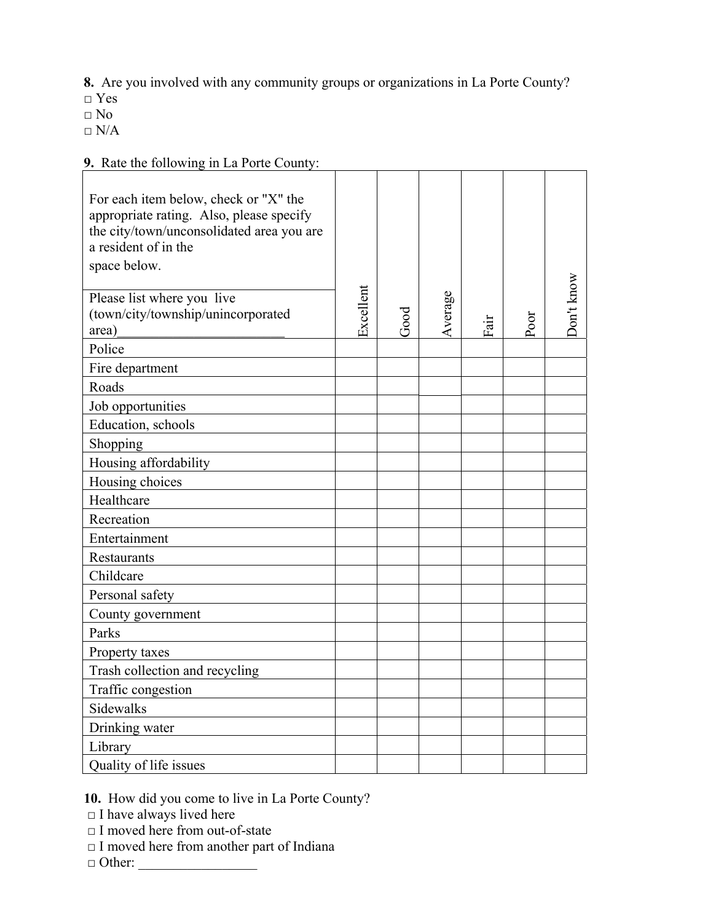**8.** Are you involved with any community groups or organizations in La Porte County?

 $\overline{\phantom{a}}$ 

**□** Yes

 $\Box$  No

 $\Box$  N/A

## **9.** Rate the following in La Porte County:

| $\lambda$ . Kate the following in Ea I one County.                                                                                                                     |           |      |         |      |      |            |
|------------------------------------------------------------------------------------------------------------------------------------------------------------------------|-----------|------|---------|------|------|------------|
| For each item below, check or "X" the<br>appropriate rating. Also, please specify<br>the city/town/unconsolidated area you are<br>a resident of in the<br>space below. |           |      |         |      |      |            |
| Please list where you live<br>(town/city/township/unincorporated<br>area)                                                                                              | Excellent | Good | Average | Fair | Poor | Don't know |
| Police                                                                                                                                                                 |           |      |         |      |      |            |
| Fire department                                                                                                                                                        |           |      |         |      |      |            |
| Roads                                                                                                                                                                  |           |      |         |      |      |            |
| Job opportunities                                                                                                                                                      |           |      |         |      |      |            |
| Education, schools                                                                                                                                                     |           |      |         |      |      |            |
|                                                                                                                                                                        |           |      |         |      |      |            |
| Shopping                                                                                                                                                               |           |      |         |      |      |            |
| Housing affordability                                                                                                                                                  |           |      |         |      |      |            |
| Housing choices                                                                                                                                                        |           |      |         |      |      |            |
| Healthcare                                                                                                                                                             |           |      |         |      |      |            |
| Recreation                                                                                                                                                             |           |      |         |      |      |            |
| Entertainment                                                                                                                                                          |           |      |         |      |      |            |
| Restaurants                                                                                                                                                            |           |      |         |      |      |            |
| Childcare                                                                                                                                                              |           |      |         |      |      |            |
| Personal safety                                                                                                                                                        |           |      |         |      |      |            |
| County government                                                                                                                                                      |           |      |         |      |      |            |
| Parks                                                                                                                                                                  |           |      |         |      |      |            |
| Property taxes                                                                                                                                                         |           |      |         |      |      |            |
| Trash collection and recycling                                                                                                                                         |           |      |         |      |      |            |
| Traffic congestion                                                                                                                                                     |           |      |         |      |      |            |
| Sidewalks                                                                                                                                                              |           |      |         |      |      |            |
| Drinking water                                                                                                                                                         |           |      |         |      |      |            |
| Library                                                                                                                                                                |           |      |         |      |      |            |
| Quality of life issues                                                                                                                                                 |           |      |         |      |      |            |

**10.** How did you come to live in La Porte County?

**□** I have always lived here

**□** I moved here from out-of-state

**□** I moved here from another part of Indiana

**□** Other: \_\_\_\_\_\_\_\_\_\_\_\_\_\_\_\_\_